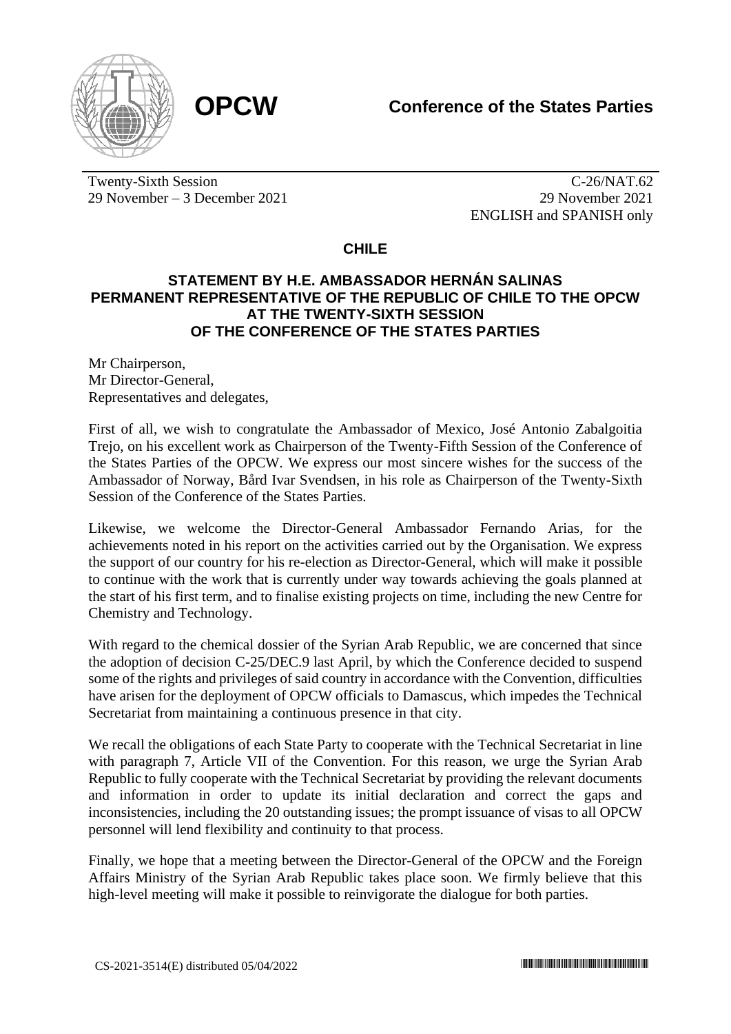

Twenty-Sixth Session 29 November – 3 December 2021

C-26/NAT.62 29 November 2021 ENGLISH and SPANISH only

## **CHILE**

## **STATEMENT BY H.E. AMBASSADOR HERNÁN SALINAS PERMANENT REPRESENTATIVE OF THE REPUBLIC OF CHILE TO THE OPCW AT THE TWENTY-SIXTH SESSION OF THE CONFERENCE OF THE STATES PARTIES**

Mr Chairperson, Mr Director-General, Representatives and delegates,

First of all, we wish to congratulate the Ambassador of Mexico, José Antonio Zabalgoitia Trejo, on his excellent work as Chairperson of the Twenty-Fifth Session of the Conference of the States Parties of the OPCW. We express our most sincere wishes for the success of the Ambassador of Norway, Bård Ivar Svendsen, in his role as Chairperson of the Twenty-Sixth Session of the Conference of the States Parties.

Likewise, we welcome the Director-General Ambassador Fernando Arias, for the achievements noted in his report on the activities carried out by the Organisation. We express the support of our country for his re-election as Director-General, which will make it possible to continue with the work that is currently under way towards achieving the goals planned at the start of his first term, and to finalise existing projects on time, including the new Centre for Chemistry and Technology.

With regard to the chemical dossier of the Syrian Arab Republic, we are concerned that since the adoption of decision C-25/DEC.9 last April, by which the Conference decided to suspend some of the rights and privileges of said country in accordance with the Convention, difficulties have arisen for the deployment of OPCW officials to Damascus, which impedes the Technical Secretariat from maintaining a continuous presence in that city.

We recall the obligations of each State Party to cooperate with the Technical Secretariat in line with paragraph 7, Article VII of the Convention. For this reason, we urge the Syrian Arab Republic to fully cooperate with the Technical Secretariat by providing the relevant documents and information in order to update its initial declaration and correct the gaps and inconsistencies, including the 20 outstanding issues; the prompt issuance of visas to all OPCW personnel will lend flexibility and continuity to that process.

Finally, we hope that a meeting between the Director-General of the OPCW and the Foreign Affairs Ministry of the Syrian Arab Republic takes place soon. We firmly believe that this high-level meeting will make it possible to reinvigorate the dialogue for both parties.